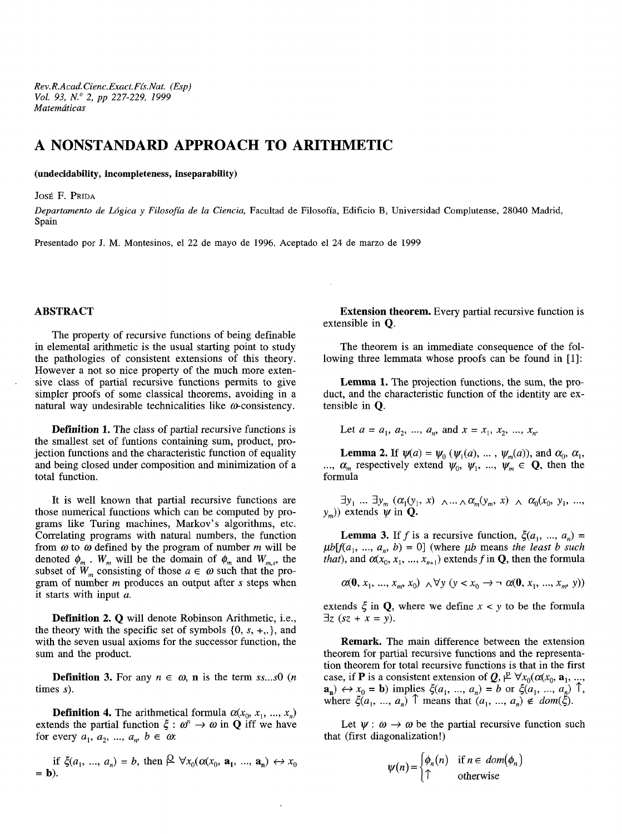*Rev.R.Acad. Cienc.Exact.Fís.Nat. (Esp) Vol. 93, N." 2, pp 227-229, 1999 Matemáticas*

## **A NONSTANDARD APPROACH TO ARITHMETIC**

**(undecidability, incompleteness, inseparability)**

JOSÉ F. PRIDA

*Departamento de Lógica y Filosofía de la Ciencia,* Facultad de Filosofía, Edificio B, Universidad Complutense, 28040 Madrid, Spain

Presentado por J. M. Montesinos, el 22 de mayo de 1996. Aceptado el 24 de marzo de 1999

## **ABSTRACT**

The property of recursive functions of being definable in elemental arithmetic is the usual starting point to study the pathologies of consistent extensions of this theory. However a not so nice property of the much more extensive class of partial recursive functions permits to give simpler proofs of some classical theorems, avoiding in a natural way undesirable technicalities like  $\omega$ -consistency.

**Definition 1.** The class of partial recursive functions is the smallest set of funtions containing sum, product, projection functions and the characteristic function of equality and being closed under composition and minimization of a total function.

It is well known that partial recursive functions are those numerical functions which can be computed by programs like Turing machines, Markov's algorithms, etc. Correlating programs with natural numbers, the function from *co* to *a)* defined by the program of number *m* will be denoted  $\phi_m$ .  $W_m$  will be the domain of  $\phi_m$  and  $W_{m,s}$ , the subset of  $W_m$  consisting of those  $a \in \omega$  such that the program of number *m* produces an output after *s* steps when it starts with input *a.*

**Definition** 2. **Q** will denote Robinson Arithmetic, i.e., the theory with the specific set of symbols {0, *s, +,.},* and with the seven usual axioms for the successor function, the sum and the product.

**Definition 3.** For any  $n \in \omega$ , **n** is the term  $ss...s0$  (*n* times *s).*

**Definition 4.** The arithmetical formula  $\alpha(x_0, x_1, ..., x_n)$  extends the partial function  $\xi : \omega^n \to \omega$  in **Q** iff we have with the seven usual axioms for the successor function, the<br>sum and the product.<br>**Definition 3.** For any  $n \in \omega$ , **n** is the term *ss...s*0 (*n*<br>times *s*).<br>**Definition 4.** The arithmetical formula  $\alpha(x_0, x_1, ..., x_n)$ <br>extend for every  $a_1, a_2, ..., a_n, b \in \omega$ .

if 
$$
\xi(a_1, ..., a_n) = b
$$
, then  $\beta \forall x_0(\alpha(x_0, \mathbf{a}_1, ..., \mathbf{a}_n) \leftrightarrow x_0$   
= **b**).

**Extension theorem.** Every partial recursive function is extensible in Q.

The theorem is an immediate consequence of the following three lemmata whose proofs can be found in [1]:

**Lemma 1.** The projection functions, the sum, the product, and the characteristic function of the identity are extensible in Q.

Let 
$$
a = a_1, a_2, ..., a_n
$$
, and  $x = x_1, x_2, ..., x_n$ .

**Lemma 2.** If  $\psi(a) = \psi_0 (\psi_1(a), \dots, \psi_m(a))$ , and  $\alpha_0, \alpha_1$ , ...,  $\alpha_m$  respectively extend  $\psi_0$ ,  $\psi_1$ , ...,  $\psi_m \in \mathbb{Q}$ , then the formula

 $\exists y_1 \dots \exists y_m \ (\alpha_1(y_1, \ x) \ \wedge \dots \wedge \alpha_m(y_m, \ x) \ \wedge \ \alpha_0(x_0, \ y_1, \ ...,\$  $(y_m)$ ) extends  $\psi$  in **Q**.

**Lemma 3.** If f is a recursive function,  $\xi(a_1, ..., a_n) =$  $\mu b[f(a_1, ..., a_n, b) = 0]$  (where  $\mu b$  means the least b such *that*), and  $\alpha(x_0, x_1, ..., x_{n+1})$  extends f in **Q**, then the formula

$$
\alpha(0, x_1, ..., x_m, x_0) \land \forall y (y < x_0 \rightarrow \neg \alpha(0, x_1, ..., x_m, y))
$$

extends  $\xi$  in Q, where we define  $x < y$  to be the formula  $\exists z$  (sz + x = y).

**Remark.** The main difference between the extension theorem for partial recursive functions and the representation theorem for total recursive functions is that in the first case, if **P** is a consistent extension of  $Q$ ,  $P \forall x_0(\alpha(x_0, \mathbf{a}_1, ..., \mathbf{a}_n))$ case, if **P** is a consistent extension of  $Q, \forall \forall x_0 (\alpha(x_0, \mathbf{a}_1, ..., \mathbf{a}_n))$ <br> $\rightarrow x_0 = \mathbf{b}$  implies  $\xi(a_1, ..., a_n) = b$  or  $\xi(a_1, ..., a_n)$   $\uparrow$ , where  $\xi(a_1, ..., a_n)$   $\uparrow$  means that  $(a_1, ..., a_n) \notin dom(\xi)$ .

Let  $\psi : \omega \to \omega$  be the partial recursive function such that (first diagonalization!)

$$
\psi(n) = \begin{cases} \phi_n(n) & \text{if } n \in \text{dom}(\phi_n) \\ \uparrow & \text{otherwise} \end{cases}
$$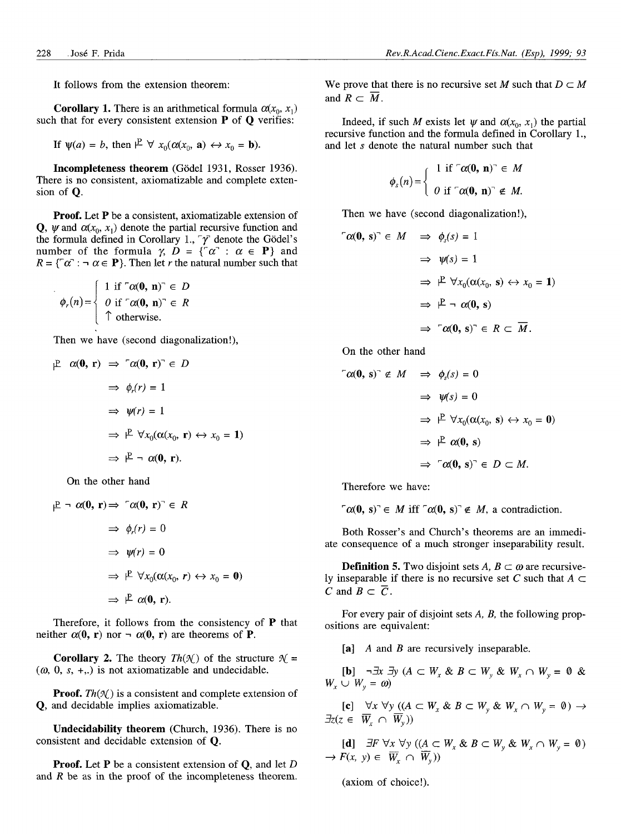It follows from the extension theorem:

**Corollary 1.** There is an arithmetical formula  $\alpha(x_0, x_1)$ such that for every consistent extension  $P$  of  $Q$  verifies:

If 
$$
\psi(a) = b
$$
, then  $\mathcal{P} \ \forall \ x_0(\alpha(x_0, \mathbf{a}) \leftrightarrow x_0 = \mathbf{b})$ .

**Incompleteness theorem** (Godei 1931, Rosser 1936). There is no consistent, axiomatizable and complete extension of Q.

**Proof.** Let P be a consistent, axiomatizable extension of **Q**,  $\psi$  and  $\alpha(x_0, x_1)$  denote the partial recursive function and the formula defined in Corollary 1.,  $\gamma$  denote the Gödel's number of the formula  $\gamma$ ,  $D = \{ \alpha : \alpha \in P \}$  and  $R = \{ [\alpha] : \neg \alpha \in \mathbf{P} \}.$  Then let *r* the natural number such that

$$
\phi_r(n) = \begin{cases} 1 & \text{if } \tau \alpha(\mathbf{0}, n) \in D \\ 0 & \text{if } \tau \alpha(\mathbf{0}, n) \in R \\ \tau & \text{otherwise.} \end{cases}
$$

Then we have (second diagonalization!),

$$
\begin{array}{rcl}\n\mathbf{P} & \alpha(\mathbf{0}, \mathbf{r}) \implies \ulcorner \alpha(\mathbf{0}, \mathbf{r}) \urcorner \in D \\
& \Rightarrow \phi_r(r) = 1 \\
& \Rightarrow \psi(r) = 1 \\
& \Rightarrow \mathbf{P} \quad \forall x_0(\alpha(x_0, \mathbf{r}) \leftrightarrow x_0 = 1) \\
& \Rightarrow \mathbf{P} \neg \alpha(\mathbf{0}, \mathbf{r}).\n\end{array}
$$

On the other hand

$$
\begin{aligned}\n\mathbb{P} &\rightarrow \alpha(0, \mathbf{r}) \Rightarrow \ulcorner \alpha(0, \mathbf{r}) \urcorner \in R \\
&\Rightarrow \phi_r(r) = 0 \\
&\Rightarrow \psi(r) = 0 \\
&\Rightarrow \mathbb{P} \quad \forall x_0(\alpha(x_0, r) \leftrightarrow x_0 = 0) \\
&\Rightarrow \mathbb{P} \quad \alpha(0, \mathbf{r}).\n\end{aligned}
$$

Therefore, it follows from the consistency of P that neither  $\alpha(0, r)$  nor  $\neg \alpha(0, r)$  are theorems of **P**.

**Corollary 2.** The theory  $Th(\mathcal{K})$  of the structure  $\mathcal{K} =$  $(\omega, 0, s, +,.)$  is not axiomatizable and undecidable.

**Proof.**  $Th(\mathcal{N})$  is a consistent and complete extension of Q, and decidable implies axiomatizable.

**Undecidability theorem** (Church, 1936). There is no consistent and decidable extension of Q.

**Proof.** Let P be a consistent extension of Q, and let *D* and *R* be as in the proof of the incompleteness theorem. We prove that there is no recursive set M such that  $D \subset M$ and  $R \subset \overline{M}$ .

Indeed, if such M exists let  $\psi$  and  $\alpha(x_0, x_1)$  the partial recursive function and the formula defined in Corollary 1., and let *s* denote the natural number such that

$$
\phi_s(n) = \begin{cases} 1 & \text{if } \ulcorner \alpha(\mathbf{0}, n) \urcorner \in M \\ 0 & \text{if } \ulcorner \alpha(\mathbf{0}, n) \urcorner \notin M. \end{cases}
$$

Then we have (second diagonalization!),

$$
\begin{aligned}\n\mathcal{C}(\mathbf{0}, \, \mathbf{s})^{\top} &\in M &\Rightarrow \phi_s(s) = 1 \\
&\Rightarrow \psi(s) = 1 \\
&\Rightarrow \mathcal{F} \ \forall x_0(\alpha(x_0, \, \mathbf{s}) \leftrightarrow x_0 = 1) \\
&\Rightarrow \mathcal{F} \neg \ \alpha(\mathbf{0}, \, \mathbf{s}) \\
&\Rightarrow \ulcorner \alpha(\mathbf{0}, \, \mathbf{s})^{\top} \in R \subset \overline{M}.\n\end{aligned}
$$

On the other hand

$$
\begin{aligned}\n\mathcal{L}(\mathbf{0}, \, \mathbf{s})^{\top} \notin M &\implies \phi_s(s) = 0 \\
&\implies \psi(s) = 0 \\
&\implies \mathcal{V}(\alpha(x_0, \, \mathbf{s}) \leftrightarrow x_0 = 0) \\
&\implies \mathcal{V}(\alpha(\mathbf{0}, \, \mathbf{s})) \\
&\implies \mathcal{V}(\mathbf{0}, \, \mathbf{s})^{\top} \in D \subset M.\n\end{aligned}
$$

Therefore we have:

 $\lceil \alpha(0, s) \rceil \in M$  iff  $\lceil \alpha(0, s) \rceil \notin M$ , a contradiction.

Both Rosser's and Church's theorems are an immediate consequence of a much stronger inseparability result.

**Definition 5.** Two disjoint sets  $A, B \subset \omega$  are recursively inseparable if there is no recursive set C such that  $A \subset$ *C* and  $B \subset \overline{C}$ .

For every pair of disjoint sets *A, B,* the following propositions are equivalent:

[a] *A* and *B* are recursively inseparable.

 $[\mathbf{b}]$   $\neg \exists x \exists y \ (A \subset W_x \& B \subset W_y \& W_x \cap W_y = 0 \& \exists x \in W_x \& B \subset W_y \& W_x \cap W_y = 0$  $W_r \cup W_v = \omega$ 

 $[e]$   $\forall x \forall y \ ((A \subset W_x \& B \subset W_y \& W_x \cap W_y = 0) \rightarrow$  $\exists z(z \in \overline{W}_r \cap \overline{W}_v)$ 

[d]  $\exists F \forall x \forall y ((A \subset W_x \& B \subset W_y \& W_x \cap W_y = 0)$  $\rightarrow$  *F(x, y)*  $\in \overline{W}_x \cap \overline{W}_y$ )

(axiom of choice!).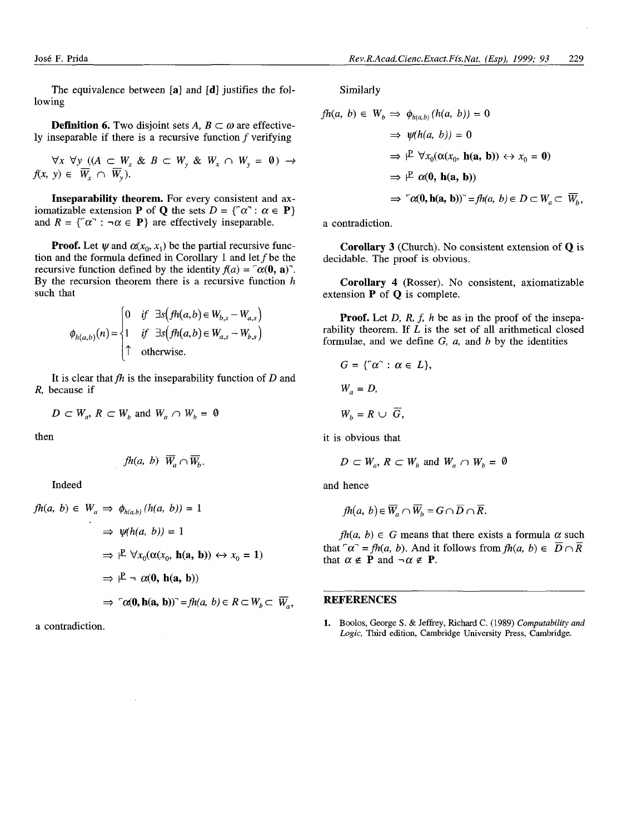The equivalence between [a] and [d] justifies the following

**Definition 6.** Two disjoint sets  $A, B \subset \omega$  are effectively inseparable if there is a recursive function  $f$  verifying

 $\forall x \ \forall y \ ((A \subset W_x \ \& \ B \subset W_y \ \& \ W_x \cap W_y = 0) \rightarrow$  $f(x, y) \in \overline{W}_x \cap \overline{W}_y$ .

**Inseparability theorem.** For every consistent and axiomatizable extension **P** of **Q** the sets  $D = \{ \ulcorner \alpha \urcorner : \alpha \in \mathbf{P} \}$ and  $R = \{\neg \alpha : \neg \alpha \in \mathbf{P}\}\$  are effectively inseparable.

**Proof.** Let  $\psi$  and  $\alpha(x_0, x_1)$  be the partial recursive function and the formula defined in Corollary 1 and let  $f$  be the recursive function defined by the identity  $f(a) = \int a(0, a)$ . By the recursion theorem there is a recursive function *h* such that

$$
\phi_{h(a,b)}(n) = \begin{cases}\n0 & \text{if } \exists s \big( fh(a,b) \in W_{b,s} - W_{a,s} \big) \\
1 & \text{if } \exists s \big( fh(a,b) \in W_{a,s} - W_{b,s} \big) \\
\uparrow & \text{otherwise.} \n\end{cases}
$$

It is clear that  $fh$  is the inseparability function of  $D$  and *R,* because if

$$
D\subset W_a, R\subset W_b \text{ and } W_a\cap W_b=\emptyset
$$

then

$$
fh(a, b) \ \overline{W}_a \cap \overline{W}_b.
$$

Indeed

$$
fh(a, b) \in W_a \implies \phi_{h(a, b)}(h(a, b)) = 1
$$
  
\n
$$
\implies \psi(h(a, b)) = 1
$$
  
\n
$$
\implies \mu \quad \forall x_0(\alpha(x_0, \mathbf{h(a, b)}) \leftrightarrow x_0 = 1)
$$
  
\n
$$
\implies \mu \land \alpha(\mathbf{0}, \mathbf{h(a, b)})
$$
  
\n
$$
\implies \neg \alpha(\mathbf{0}, \mathbf{h(a, b)}) = fh(a, b) \in R \subset W_b \subset \overline{W_a},
$$

a contradiction.

Similarly

$$
fh(a, b) \in W_b \implies \phi_{h(a,b)}(h(a, b)) = 0
$$
  
\n
$$
\implies \psi(h(a, b)) = 0
$$
  
\n
$$
\implies \mathbb{P} \ \forall x_0(\alpha(x_0, \mathbf{h(a, b)}) \leftrightarrow x_0 = 0)
$$
  
\n
$$
\implies \mathbb{P} \ \alpha(\mathbf{0}, \mathbf{h(a, b)})
$$
  
\n
$$
\implies \neg(\alpha(\mathbf{0}, \mathbf{h(a, b)})^{\neg} = fh(a, b) \in D \subset W_a \subset \overline{W_b},
$$

a contradiction.

**Corollary 3** (Church). No consistent extension of Q is decidable. The proof is obvious.

**Corollary 4** (Rosser). No consistent, axiomatizable extension  $P$  of  $Q$  is complete.

**Proof.** Let *D, R, f, h* be as in the proof of the inseparability theorem. If *L* is the set of all arithmetical closed formulae, and we define *G, a,* and *b* by the identities

$$
G = \{ ^\neg \alpha^\neg : \alpha \in L \},
$$
  
\n
$$
W_a = D,
$$
  
\n
$$
W_b = R \cup \overline{G},
$$

it is obvious that

$$
D \subset W_a, R \subset W_b \text{ and } W_a \cap W_b = \emptyset
$$

and hence

$$
fh(a, b) \in \overline{W}_a \cap \overline{W}_b = G \cap \overline{D} \cap \overline{R}.
$$

 $fh(a, b) \in G$  means that there exists a formula  $\alpha$  such that  $\alpha^r = fh(a, b)$ . And it follows from  $fh(a, b) \in \overline{D} \cap \overline{R}$ that  $\alpha \notin P$  and  $\neg \alpha \notin P$ .

## **REFERENCES**

1. Boolos, George S. & Jeffrey, Richard C. (1989) *Computability and* Logic, Third edition, Cambridge University Press, Cambridge.